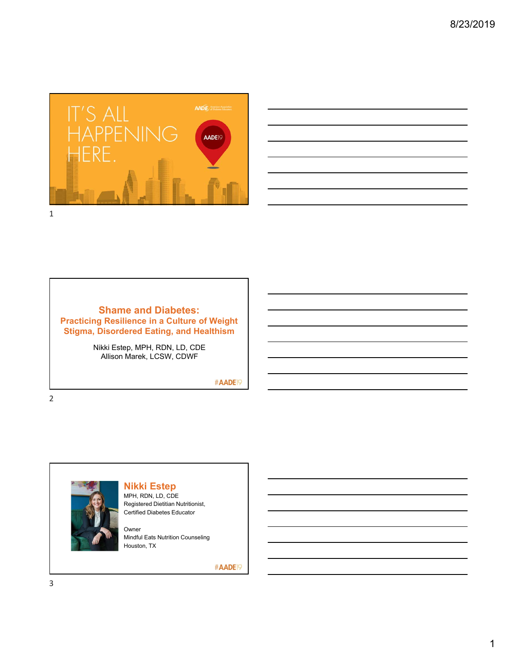



#### **Shame and Diabetes: Practicing Resilience in a Culture of Weight Stigma, Disordered Eating, and Healthism**

Nikki Estep, MPH, RDN, LD, CDE Allison Marek, LCSW, CDWF

#AADE<sup>19</sup>

2



## **Nikki Estep**

MPH, RDN, LD, CDE Registered Dietitian Nutritionist, Certified Diabetes Educator

Owner Mindful Eats Nutrition Counseling Houston, TX

#AADE<sup>19</sup>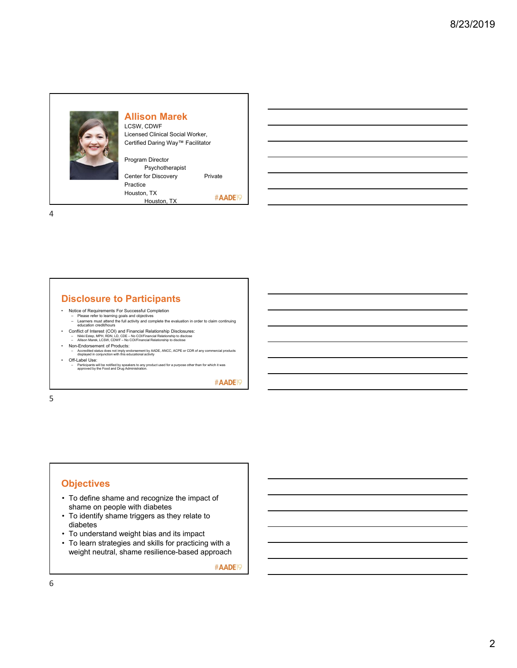

#### **Allison Marek**

LCSW, CDWF Licensed Clinical Social Worker, Certified Daring Way™ Facilitator

Program Director Psychotherapist Center for Discovery Private Practice Houston, TX #AADE<sup>19</sup> Houston, TX

4

# **Disclosure to Participants**

- 
- Notice of Requirements For Successful Completion Please refer to learning goals and objectives Learners must attend the full activity and complete the evaluation in order to claim continuing education credit/hours
- Conflict of Interest (COI) and Financial Relationship Disclosures:<br>– Nikki Estep, MPH, RDN, LD, CDE No COI/Financial Relationship to disclose<br>– Allison Marek, LCSW, CDWF No COI/Financial Relationship to disclose
- Non-Endorsement of Products:
- Accredited status does not imply endorsement by AADE, ANCC, ACPE or CDR of any commercial products displayed in conjunction with this educational activity
- Off-Label Use: Participants will be notified by speakers to any product used for a purpose other than for which it was approved by the Food and Drug Administration.

#AADE<sup>19</sup>

5

# **Objectives**

- To define shame and recognize the impact of shame on people with diabetes
- To identify shame triggers as they relate to diabetes
- To understand weight bias and its impact
- To learn strategies and skills for practicing with a weight neutral, shame resilience-based approach

#AADE<sup>19</sup>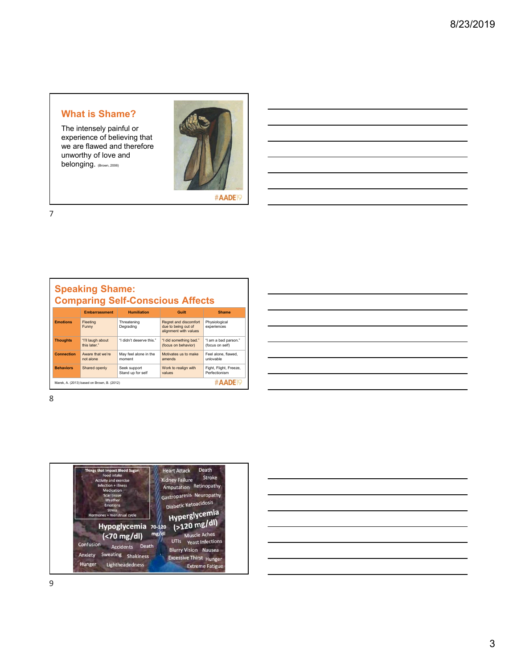## **What is Shame?**

The intensely painful or experience of believing that we are flawed and therefore unworthy of love and belonging. (Brown, 2006)



#AADE<sup>19</sup>

7

# **Speaking Shame: Comparing Self-Conscious Affects**

|                   | <b>Embarrassment</b>                       | <b>Humiliation</b>                | Guilt                                                                 | <b>Shame</b>                            |
|-------------------|--------------------------------------------|-----------------------------------|-----------------------------------------------------------------------|-----------------------------------------|
| <b>Emotions</b>   | Fleeting<br>Funny                          | Threatening<br>Degrading          | Regret and discomfort<br>due to being out of<br>alignment with values | Physiological<br>experiences            |
| <b>Thoughts</b>   | "I'll laugh about<br>this later."          | "I didn't deserve this."          | "I did something bad."<br>(focus on behavior)                         | "I am a bad parson."<br>(focus on self) |
| <b>Connection</b> | Aware that we're<br>not alone              | May feel alone in the<br>moment   | Motivates us to make<br>amends                                        | Feel alone, flawed.<br>unlovable        |
| <b>Behaviors</b>  | Shared openly                              | Seek support<br>Stand up for self | Work to realign with<br>values                                        | Fight, Flight, Freeze,<br>Perfectionism |
|                   | Marek, A. (2013) based on Brown, B. (2012) |                                   |                                                                       | <b>#AADEIQ</b>                          |

| <u> Alexandria de la contrada de la contrada de la contrada de la contrada de la contrada de la contrada de la c</u> |  |  |  |
|----------------------------------------------------------------------------------------------------------------------|--|--|--|
|                                                                                                                      |  |  |  |
|                                                                                                                      |  |  |  |
|                                                                                                                      |  |  |  |
|                                                                                                                      |  |  |  |
|                                                                                                                      |  |  |  |



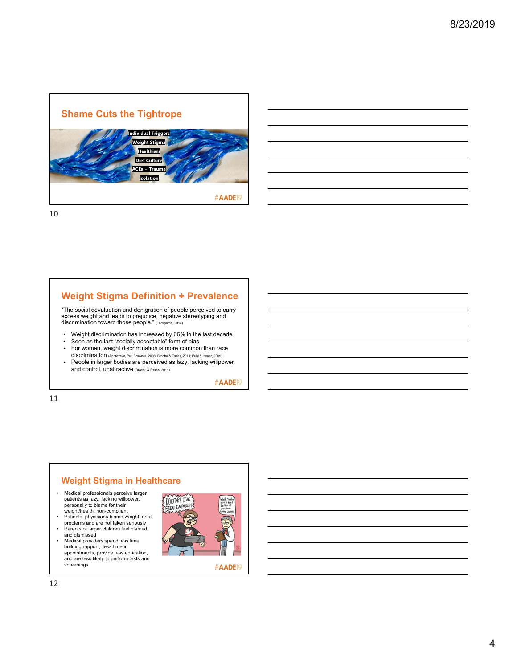

10

## **Weight Stigma Definition + Prevalence**

"The social devaluation and denigration of people perceived to carry excess weight and leads to prejudice, negative stereotyping and discrimination toward those people." (Tomiyama, 2014)

- Weight discrimination has increased by 66% in the last decade
- Seen as the last "socially acceptable" form of bias
- For women, weight discrimination is more common than race discrimination (Andreyeva, Pul, Brownell, 2008; Brochu & Esses, 2011; Puhl & Heuer, 2009)
- People in larger bodies are perceived as lazy, lacking willpower and control, unattractive (Brochu & Esses, 2011)

#AADE<sup>19</sup>

11

# **Weight Stigma in Healthcare**

- Medical professionals perceive larger patients as lazy, lacking willpower, personally to blame for their weight/health, non-compliant • Patients physicians blame weight for all
- problems and are not taken seriously Parents of larger children feel blamed and dismissed
- Medical providers spend less time
- building rapport, less time in appointments, provide less education, and are less likely to perform tests and screenings



#AADE<sub>19</sub>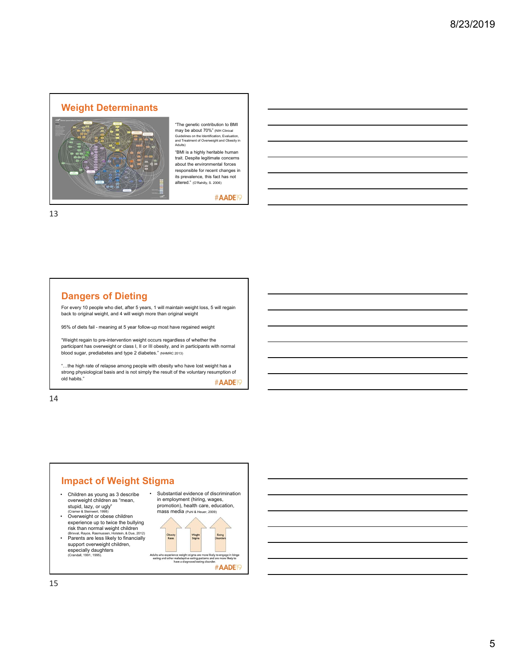#### **Weight Determinants**



"The genetic contribution to BMI may be about 70%" (NIH Clinical Guidelines on the Identification, Evaluation, and Treatment of Overweight and Obesity in Adults)

"BMI is a highly heritable human trait. Despite legitimate concerns about the environmental forces responsible for recent changes in its prevalence, this fact has not altered." (O'Rahilly, S. 2006)

#AADE<sup>19</sup>

13

## **Dangers of Dieting**

For every 10 people who diet, after 5 years, 1 will maintain weight loss, 5 will regain back to original weight, and 4 will weigh more than original weight

95% of diets fail - meaning at 5 year follow-up most have regained weight

"Weight regain to pre-intervention weight occurs regardless of whether the participant has overweight or class I, II or III obesity, and in participants with normal blood sugar, prediabetes and type 2 diabetes." (NHMRC 2013)

"…the high rate of relapse among people with obesity who have lost weight has a strong physiological basis and is not simply the result of the voluntary resumption of old habits." #AADE<sub>19</sub>

14

# **Impact of Weight Stigma** • Children as young as 3 describe overweight children as "mean,

stupid, lazy, or ugly" (Cramer & Steinwert, 1998) • Overweight or obese children experience up to twice the bullying risk than normal weight children (Brixval, Rayce, Rasmussen, Holstein, & Due, 2012) • Parents are less likely to financially support overweight children.

especially daughters (Crandall, 1991, 1995).

• Substantial evidence of discrimination in employment (hiring, wages, promotion), health care, education, mass media (Puhl & Heuer, 2009)

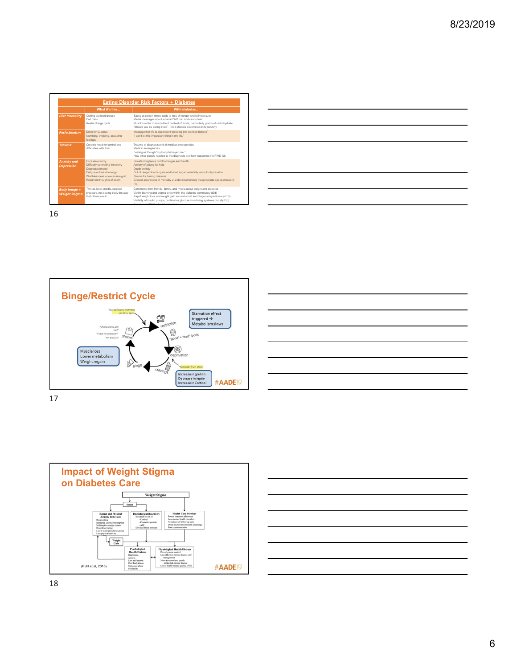|                                             | What it's like                                                                                                                                                        | With diabetes                                                                                                                                                                                                                                                                                                                                                |
|---------------------------------------------|-----------------------------------------------------------------------------------------------------------------------------------------------------------------------|--------------------------------------------------------------------------------------------------------------------------------------------------------------------------------------------------------------------------------------------------------------------------------------------------------------------------------------------------------------|
| <b>Diet Mentality</b>                       | Cutting out food groups<br>Fad diets<br>Restrict/binge cycle                                                                                                          | Eating at certain times leads to loss of hunger and fullness cues<br>Media messages about what a PWD can and cannot eat<br>Must know the macronutrient content of foods, particularly grams of carbohydrate<br>"Should you be eating that?" - food choices become open to scrutiny                                                                           |
| <b>Perfectionism</b>                        | Drive for success<br>Numbing, avoiding, escaping<br>feelings                                                                                                          | Message that life is dependent on being the "perfect diabetic"<br>"I can't let this impact anything in my life."                                                                                                                                                                                                                                             |
| <b>Trauma</b>                               | Creates need for control and<br>difficulties with trust                                                                                                               | Trauma of diagnosis and of medical emergencies<br>Medical emergencies<br>Feeling as though "my body betraved me."<br>How other people reacted to the diagnosis and how supported the PWD felt.                                                                                                                                                               |
| <b>Anxiety and</b><br><b>Depression</b>     | Excessive worry<br>Difficulty controlling the worry<br>Depressed mood<br>Fatigue or loss of energy<br>Worthlessness or excessive quilt<br>Recurrent thoughts of death | Constant vigilance on blood sugar and health<br>Anxiety of asking for help<br>Death anxiety<br>Out of range blood sugars and blood sugar variability leads to depression<br>Shame for having diabetes<br>Greater awareness of mortality at a developmentally inappropriate age (particularly<br>t1d                                                          |
| <b>Body Image +</b><br><b>Weight Stigma</b> | Thin as ideal, media, societal<br>pressure, not seeing body the way<br>that others see it                                                                             | Comments from friends, family, and media about weight and diabetes<br>Victim-blaming and stigma even within the diabetes community (t2d)<br>Rapid weight loss and weight gain around onset and diagnosis (particularly t1d)<br>Visibility of insulin pumps, continuous glucose monitoring systems (mostly t1d)<br>Constitution (DIAP) substantial insulation |

| <u> 1989 - Johann Stoff, amerikansk politiker (d. 1989)</u>                                                           |  |  |  |
|-----------------------------------------------------------------------------------------------------------------------|--|--|--|
| <u> 1989 - Andrea Andrew Maria (h. 1989).</u>                                                                         |  |  |  |
| <u> 1989 - Johann Stoff, amerikansk politiker (d. 1989)</u>                                                           |  |  |  |
| <u> 1989 - Johann Stoff, deutscher Stoffen und der Stoffen und der Stoffen und der Stoffen und der Stoffen und de</u> |  |  |  |
| <u> 1989 - Andrea Santa Andrea Andrea Andrea Andrea Andrea Andrea Andrea Andrea Andrea Andrea Andrea Andrea Andr</u>  |  |  |  |
| <u> 1989 - Andrea Santa Andrea Andrea Andrea Andrea Andrea Andrea Andrea Andrea Andrea Andrea Andrea Andrea Andr</u>  |  |  |  |
| <u> 1989 - Johann Stoff, deutscher Stoff, der Stoff, der Stoff, der Stoff, der Stoff, der Stoff, der Stoff, der S</u> |  |  |  |
|                                                                                                                       |  |  |  |

 $\overline{\phantom{0}}$ 

▃

16







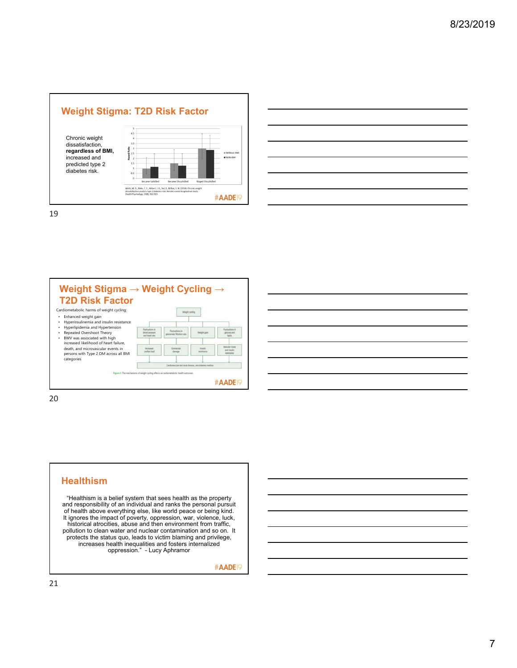



19



20

#### **Healthism**

"Healthism is a belief system that sees health as the property and responsibility of an individual and ranks the personal pursuit of health above everything else, like world peace or being kind. It ignores the impact of poverty, oppression, war, violence, luck, historical atrocities, abuse and then environment from traffic, pollution to clean water and nuclear contamination and so on. It protects the status quo, leads to victim blaming and privilege, increases health inequalities and fosters internalized oppression." - Lucy Aphramor

#AADE<sup>19</sup>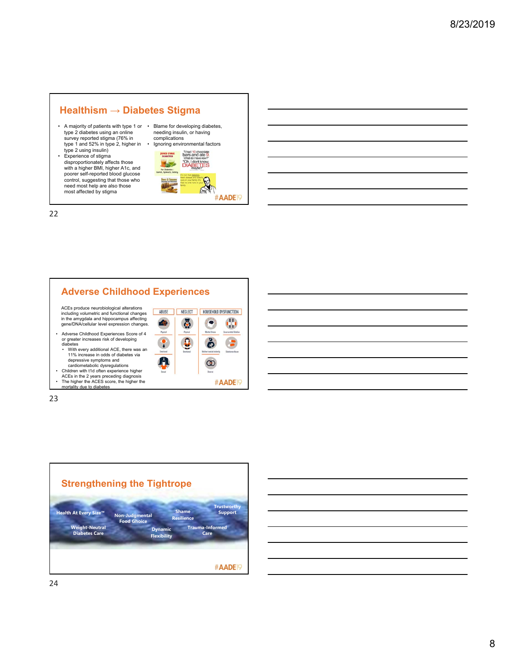# **Healthism → Diabetes Stigma**

- A majority of patients with type 1 or type 2 diabetes using an online survey reported stigma (76% in type 1 and 52% in type 2, higher in • Ignoring environmental factors
- type 2 using insulin) Experience of stigma disproportionately affects those with a higher BMI, higher A1c, and poorer self-reported blood glucose control, suggesting that those who need most help are also those most affected by stigma





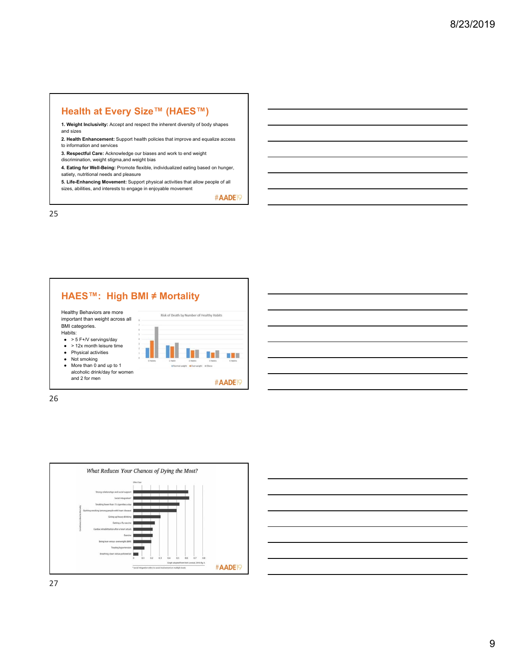## **Health at Every Size™ (HAES™)**

- **1. Weight Inclusivity:** Accept and respect the inherent diversity of body shapes and sizes
- **2. Health Enhancement:** Support health policies that improve and equalize access to information and services
- 
- **3. Respectful Care:** Acknowledge our biases and work to end weight
- discrimination, weight stigma,and weight bias
- **4. Eating for Well-Being:** Promote flexible, individualized eating based on hunger, satiety, nutritional needs and pleasure
- **5. Life-Enhancing Movement:** Support physical activities that allow people of all sizes, abilities, and interests to engage in enjoyable movement

#AADE<sup>19</sup>

25





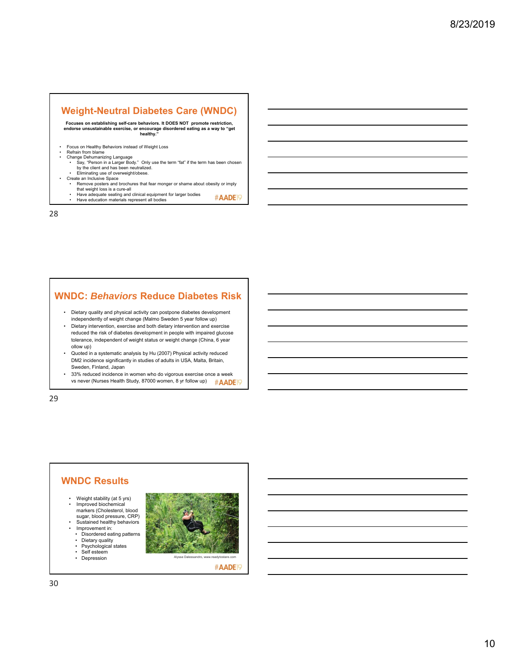## **Weight-Neutral Diabetes Care (WNDC)**

**Focuses on establishing self-care behaviors. It DOES NOT promote restriction, endorse unsustainable exercise, or encourage disordered eating as a way to "get healthy."**

- Focus on Healthy Behaviors instead of Weight Loss Refrain from blame
- 
- Change Dehumanizing Language Say, "Person in a Larger Body." Only use the term "fat" if the term has been chosen by the client and has been neutralized.
- Eliminating use of overweight/obese. Create an Inclusive Space
	- Remove posters and brochures that fear monger or shame about obesity or imply
	- that weight loss is a cure-all Have adequate seating and clinical equipment for larger bodies Have education materials represent all bodies #AADE<sup>19</sup>

28

#### **WNDC:** *Behaviors* **Reduce Diabetes Risk**

- Dietary quality and physical activity can postpone diabetes development independently of weight change (Malmo Sweden 5 year follow up)
- Dietary intervention, exercise and both dietary intervention and exercise reduced the risk of diabetes development in people with impaired glucose tolerance, independent of weight status or weight change (China, 6 year ollow up)
- Quoted in a systematic analysis by Hu (2007) Physical activity reduced DM2 incidence significantly in studies of adults in USA, Malta, Britain, Sweden, Finland, Japan
- 33% reduced incidence in women who do vigorous exercise once a week vs never (Nurses Health Study, 87000 women, 8 yr follow up) #AADE

29

#### **WNDC Results** • Weight stability (at 5 yrs) • Improved biochemical markers (Cholesterol, blood sugar, blood pressure, CRP) Sustained healthy behaviors • Improvement in: • Disordered eating patterns • Dietary quality • Psychological states • Self esteem **Francisco Communist Communist Communist Communist Communist Communist Communist Communist Communist Communist Communist Communist Communist Communist Communist Communist Communist Communist Communist Communi**



#AADE<sub>19</sub>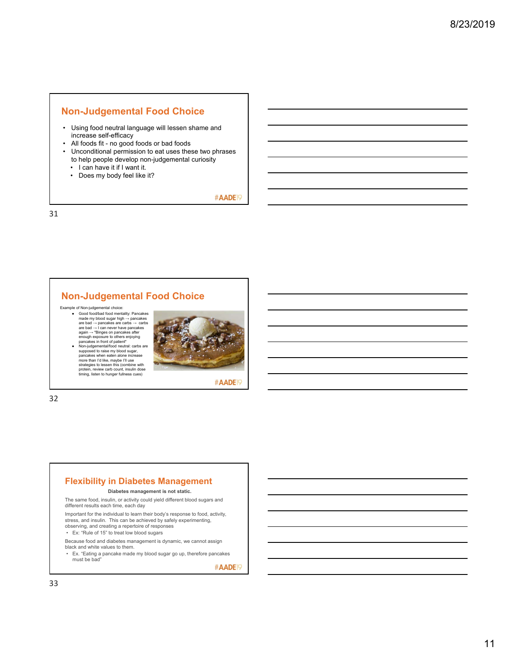#### **Non-Judgemental Food Choice**

- Using food neutral language will lessen shame and increase self-efficacy
- All foods fit no good foods or bad foods
- Unconditional permission to eat uses these two phrases to help people develop non-judgemental curiosity • I can have it if I want it.
	-
	- Does my body feel like it?

#AADE<sup>19</sup>

31

## **Non-Judgemental Food Choice**

Example of Non-judgemental choice:<br>  $\bullet$  Good food/bad food mentality. Pancakes<br>  $\text{made} \rightarrow \text{parcakes}$  are carbs  $\rightarrow \text{carbs}$ <br>
are bad  $\rightarrow \text{pancakes}$  are carbs  $\rightarrow \text{carbs}$ <br>
are bad  $\rightarrow \text{1}$  can never have pancakes<br>
again  $\rightarrow$  "Bing ● Non-judgemental/food neutral: carbs are supposed to raise my blood sugar, pancakes when eaten alone increase more than I'd like, maybe I'll use strategies to lessen this (combine with protein, review carb count, insulin dose timing, listen to hunger fullness cues)



#AADE<sup>19</sup>

32

#### **Flexibility in Diabetes Management**

#### **Diabetes management is not static.**

The same food, insulin, or activity could yield different blood sugars and different results each time, each day

Important for the individual to learn their body's response to food, activity, stress, and insulin. This can be achieved by safely experimenting, observing, and creating a repertoire of responses

• Ex: "Rule of 15" to treat low blood sugars

Because food and diabetes management is dynamic, we cannot assign black and white values to them.

• Ex. "Eating a pancake made my blood sugar go up, therefore pancakes must be bad"

#AADE<sup>19</sup>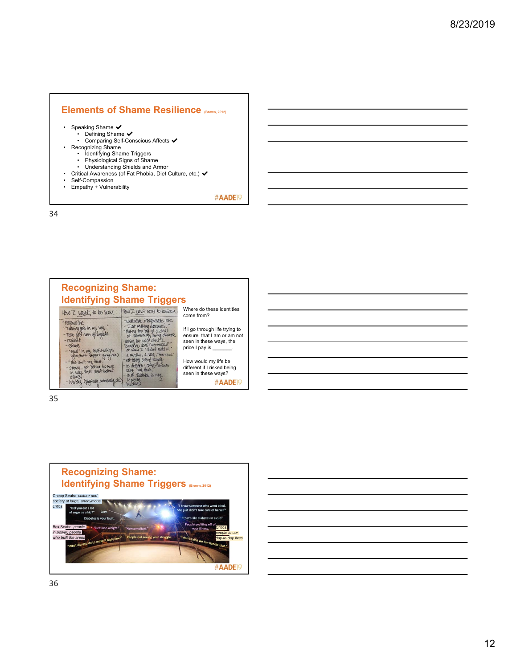## **Elements of Shame Resilience (Brown, 2012)**

- 
- Speaking Shame ✔<br>• Defining Shame ✔<br>• Comparing Self-Conscious Affects ✔
	-
	-
	-
- Recognizing Shame Identifying Shame Triggers Physiological Signs of Shame Understanding Shields and Armor
- Critical Awareness (of Fat Phobia, Diet Culture, etc.) ✔ Self-Compassion
- 
- Empathy + Vulnerability

#AADE<sup>19</sup>

34

| <b>Recognizing Shame:</b><br><b>Identifying Shame Triggers</b>                                                                                                                   |                                                                                                                                                                                                                                                     |                                                                                                           |
|----------------------------------------------------------------------------------------------------------------------------------------------------------------------------------|-----------------------------------------------------------------------------------------------------------------------------------------------------------------------------------------------------------------------------------------------------|-----------------------------------------------------------------------------------------------------------|
| HOW I want to be seen                                                                                                                                                            | HOW I don't want to be seen                                                                                                                                                                                                                         | Where do these identities<br>come from?                                                                   |
| - responsible<br>- "Nothing gets in my way.<br>- Take good care of mysel<br>$-$ resilient<br>$-$ religible.<br>- "equal" in my relationships<br>(give/take, dippet-giving, etc.) | -unreliable, irresponsible, etc.<br>- "Just making excuses.<br>- Marina too bee of a cleal<br>of something some changes.<br>-asking for helph when I<br>could've done that muself.<br>or when I "clichet you it."<br>- a burden, a drag, "too much" | If I go through life trying to<br>ensure that I am or am not<br>seen in these ways, the<br>price I pay is |
| - "This isn't my fault.<br>- Strong, yet asking for help.<br>in ways that don't bother                                                                                           | - not taking care of rayself<br>as didens : complications<br>being my fault.<br>that diables is my                                                                                                                                                  | How would my life be<br>different if I risked being<br>seen in these ways?                                |
| - healthy (physically, emotorally, etc.)                                                                                                                                         | identity<br>- buidens                                                                                                                                                                                                                               | #AADE                                                                                                     |

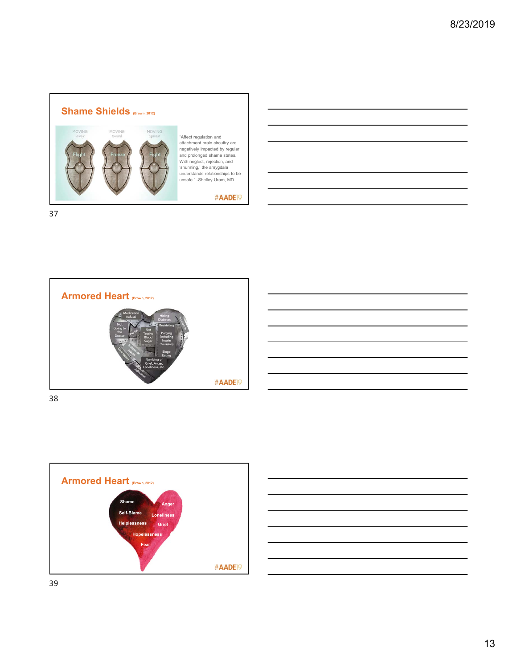

"Affect regulation and attachment brain circuitry are negatively impacted by regular and prolonged shame states. With neglect, rejection, and 'shunning,' the amygdala understands relationships to be unsafe." -Shelley Uram, MD

#### #AADE<sup>19</sup>







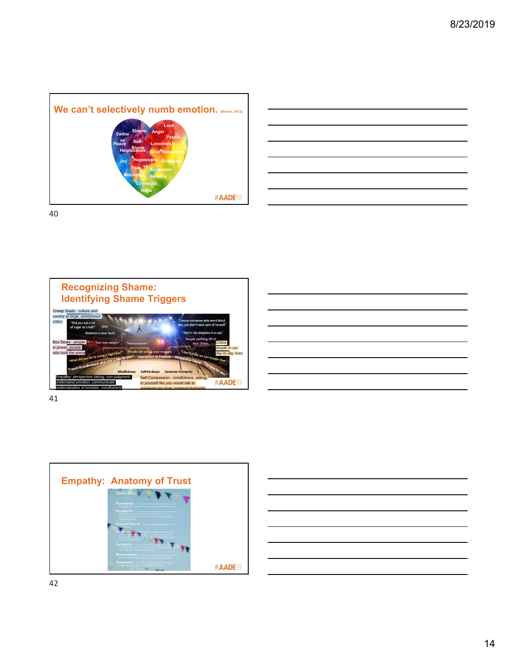









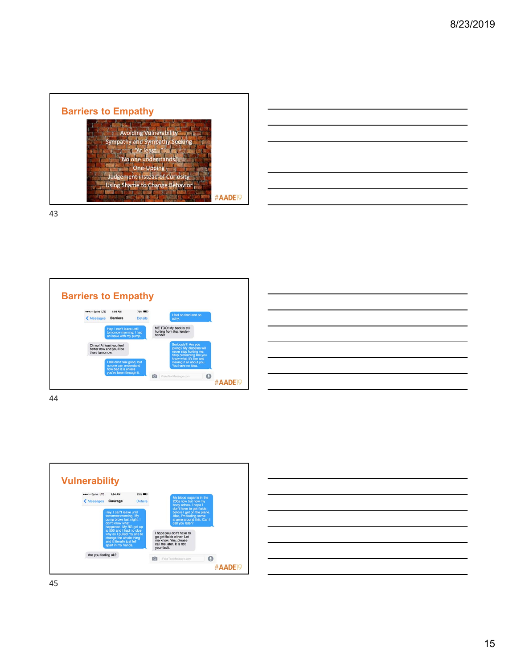| <b>Avoiding Vulnerabil</b> |                   |                                                                                                                                       |                     |
|----------------------------|-------------------|---------------------------------------------------------------------------------------------------------------------------------------|---------------------|
|                            |                   |                                                                                                                                       |                     |
| At least                   |                   |                                                                                                                                       |                     |
|                            |                   |                                                                                                                                       |                     |
|                            |                   |                                                                                                                                       |                     |
|                            |                   |                                                                                                                                       |                     |
|                            |                   |                                                                                                                                       | #AADE <sub>19</sub> |
|                            | <b>One-Upping</b> | Sympathy and Sympathy Seeking<br>No one understands<br><b>Judgement instead of Curiosity</b><br><b>Using Shame to Change Behavior</b> |                     |

43